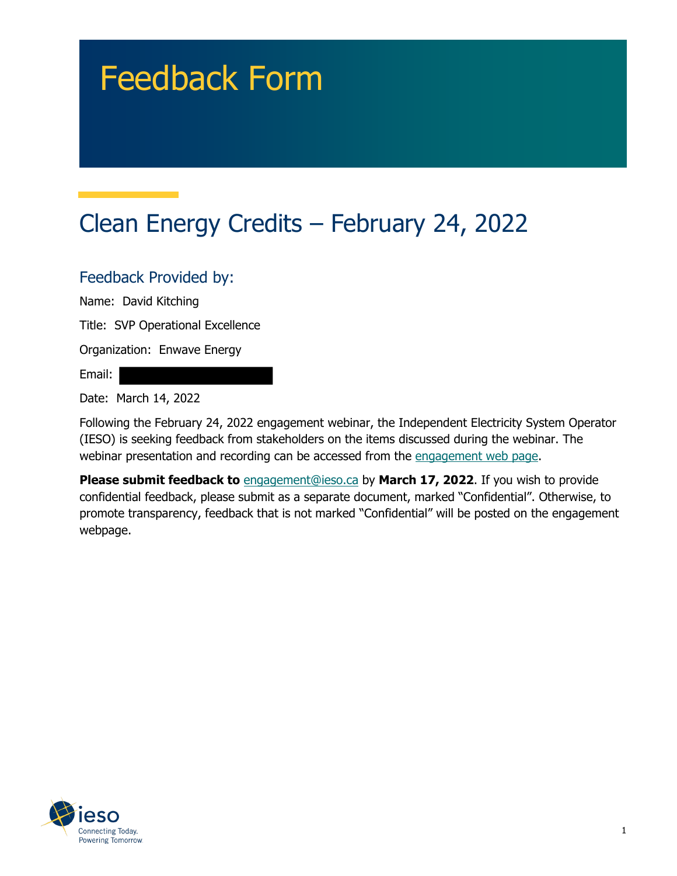# Feedback Form

# Clean Energy Credits – February 24, 2022

#### Feedback Provided by:

Name: David Kitching

Title: SVP Operational Excellence

Organization: Enwave Energy

Email:

Date: March 14, 2022

Following the February 24, 2022 engagement webinar, the Independent Electricity System Operator (IESO) is seeking feedback from stakeholders on the items discussed during the webinar. The webinar presentation and recording can be accessed from the engagement web page.

**Please submit feedback to** engagement@ieso.ca by March 17, 2022. If you wish to provide confidential feedback, please submit as a separate document, marked "Confidential". Otherwise, to promote transparency, feedback that is not marked "Confidential" will be posted on the engagement webpage.

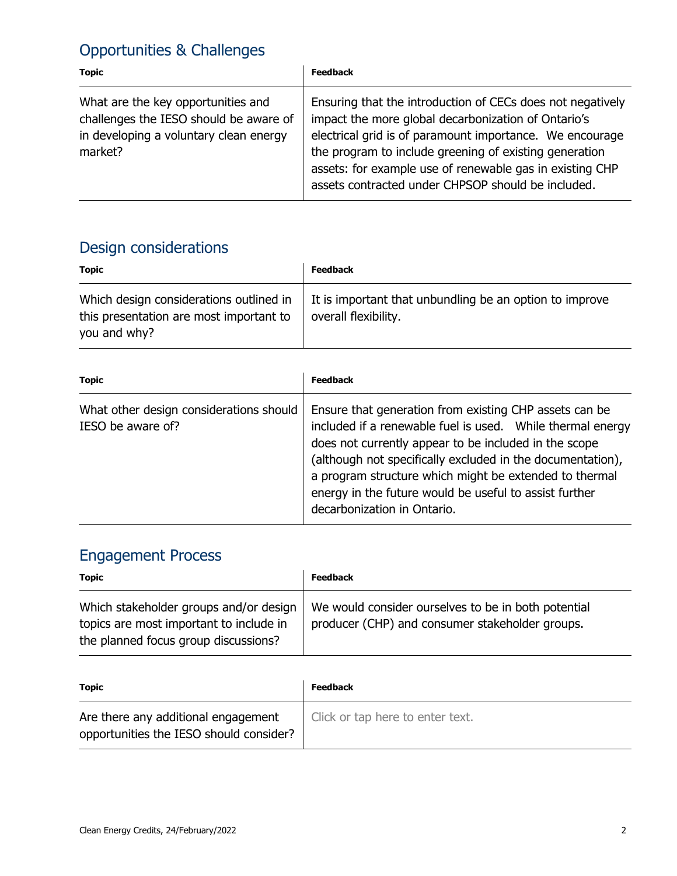#### Opportunities & Challenges

| <b>Topic</b>                                                                                                                      | <b>Feedback</b>                                                                                                                                                                                                                                                                                                                                           |
|-----------------------------------------------------------------------------------------------------------------------------------|-----------------------------------------------------------------------------------------------------------------------------------------------------------------------------------------------------------------------------------------------------------------------------------------------------------------------------------------------------------|
| What are the key opportunities and<br>challenges the IESO should be aware of<br>in developing a voluntary clean energy<br>market? | Ensuring that the introduction of CECs does not negatively<br>impact the more global decarbonization of Ontario's<br>electrical grid is of paramount importance. We encourage<br>the program to include greening of existing generation<br>assets: for example use of renewable gas in existing CHP<br>assets contracted under CHPSOP should be included. |

## Design considerations

| <b>Topic</b>                                                                                       | <b>Feedback</b>                                                                 |
|----------------------------------------------------------------------------------------------------|---------------------------------------------------------------------------------|
| Which design considerations outlined in<br>this presentation are most important to<br>you and why? | It is important that unbundling be an option to improve<br>overall flexibility. |

| <b>Topic</b>                                                 | <b>Feedback</b>                                                                                                                                                                                                                                                                                                                                                                                |
|--------------------------------------------------------------|------------------------------------------------------------------------------------------------------------------------------------------------------------------------------------------------------------------------------------------------------------------------------------------------------------------------------------------------------------------------------------------------|
| What other design considerations should<br>IESO be aware of? | Ensure that generation from existing CHP assets can be<br>included if a renewable fuel is used. While thermal energy<br>does not currently appear to be included in the scope<br>(although not specifically excluded in the documentation),<br>a program structure which might be extended to thermal<br>energy in the future would be useful to assist further<br>decarbonization in Ontario. |

### Engagement Process

| <b>Topic</b>                                                                                                              | <b>Feedback</b>                                                                                        |
|---------------------------------------------------------------------------------------------------------------------------|--------------------------------------------------------------------------------------------------------|
| Which stakeholder groups and/or design<br>topics are most important to include in<br>the planned focus group discussions? | We would consider ourselves to be in both potential<br>producer (CHP) and consumer stakeholder groups. |

| <b>Topic</b>                                                                   | <b>Feedback</b>                  |
|--------------------------------------------------------------------------------|----------------------------------|
| Are there any additional engagement<br>opportunities the IESO should consider? | Click or tap here to enter text. |